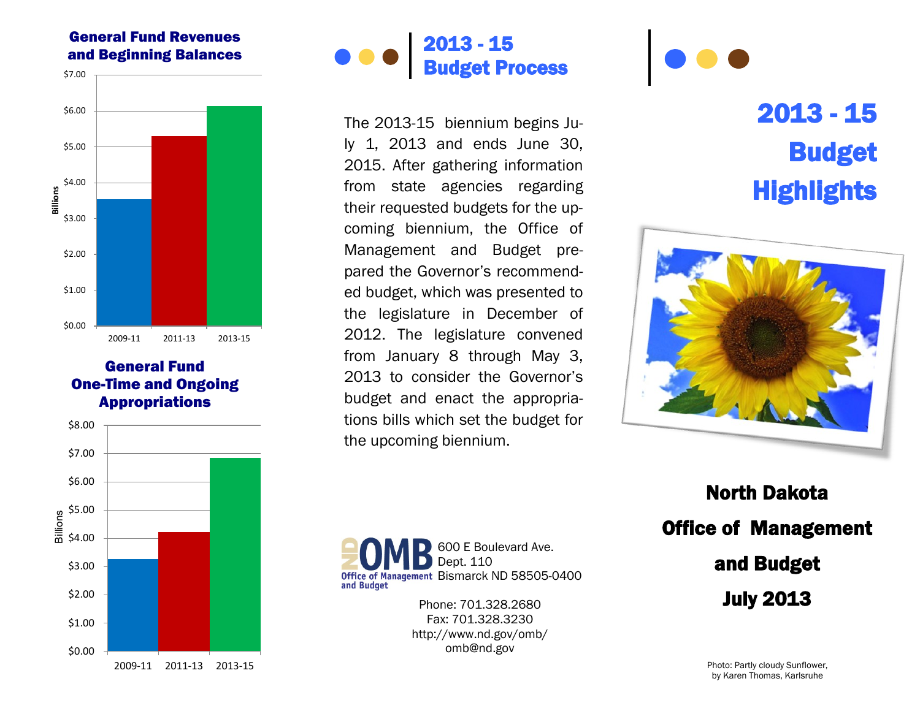## General Fund Revenues and Beginning Balances



## General Fund One-Time and Ongoing Appropriations





The 2013 -15 biennium begins July 1, 2013 and ends June 30, 2015. After gathering information from state agencies regarding their requested budgets for the upcoming biennium, the Office of Management and Budget prepared the Governor's recommended budget, which was presented to the legislature in December of 2012. The legislature convened from January 8 through May 3, 2013 to consider the Governor's budget and enact the appropriations bills which set the budget for the upcoming biennium.

## 2013 - 15 Budget **Highlights**



North Dakota Office of Management and Budget July 2013

Bismarck ND 58505 -0400 Phone: 701.328.2680 Fax: 701.328.3230 http://www.nd.gov/omb/ omb@nd.gov

Dept. 110

and Budget

600 E Boulevard Ave.

Photo: Partly cloudy Sunflower, by Karen Thomas, Karlsruhe